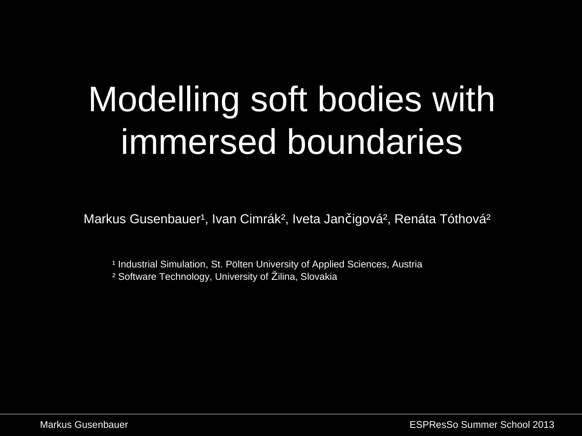## Modelling soft bodies with immersed boundaries

Markus Gusenbauer<sup>1</sup>, Ivan Cimrák<sup>2</sup>, Iveta Jančigová<sup>2</sup>, Renáta Tóthová<sup>2</sup>

<sup>1</sup> Industrial Simulation, St. Pölten University of Applied Sciences, Austria ² Software Technology, University of Žilina, Slovakia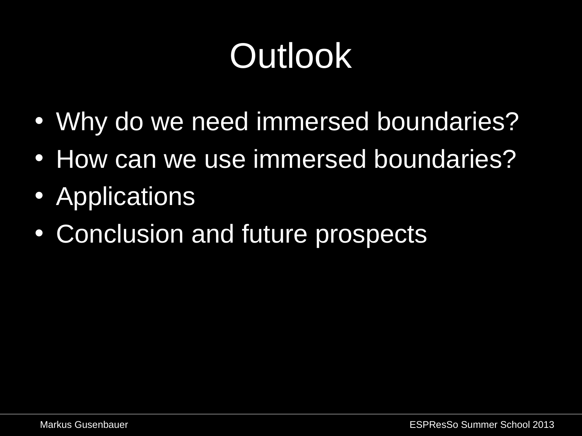## **Outlook**

- Why do we need immersed boundaries?
- How can we use immersed boundaries?
- Applications
- Conclusion and future prospects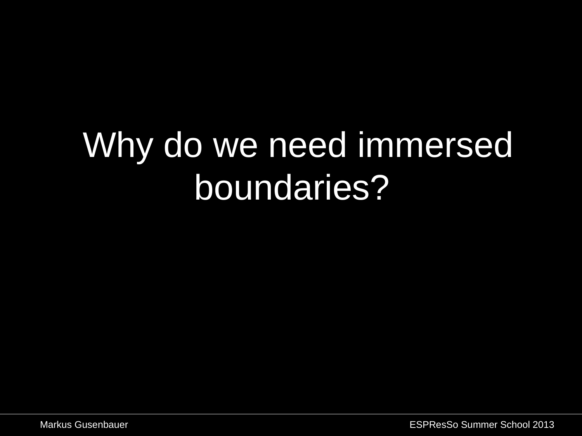## •Why do we need immersed boundaries?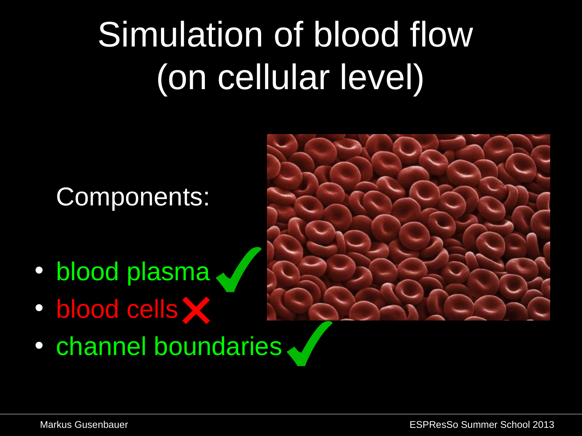# Simulation of blood flow (on cellular level)

### Components:

- blood plasma
- **blood cells**
- channel boundaries

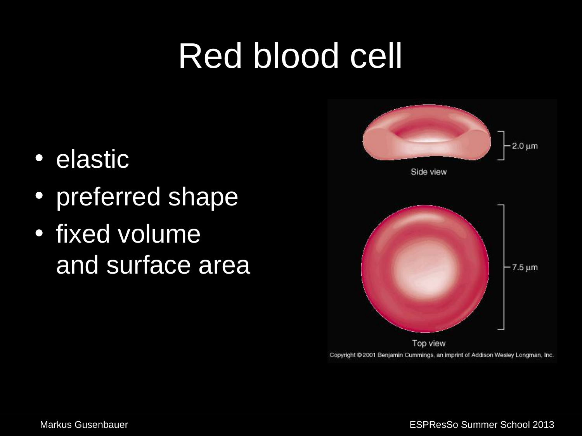## Red blood cell

- elastic
- preferred shape
- fixed volume and surface area



Copyright @ 2001 Benjamin Cummings, an imprint of Addison Wesley Longman, Inc.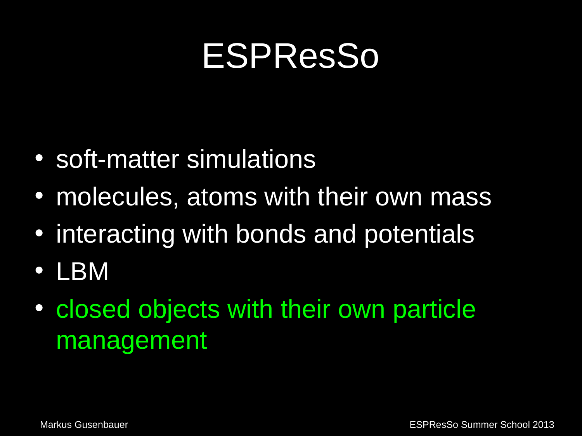### ESPResSo

- soft-matter simulations
- molecules, atoms with their own mass
- interacting with bonds and potentials
- LBM
- closed objects with their own particle management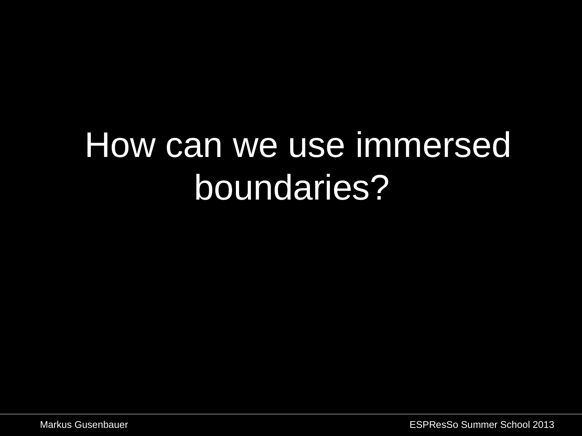### •How can we use immersed boundaries?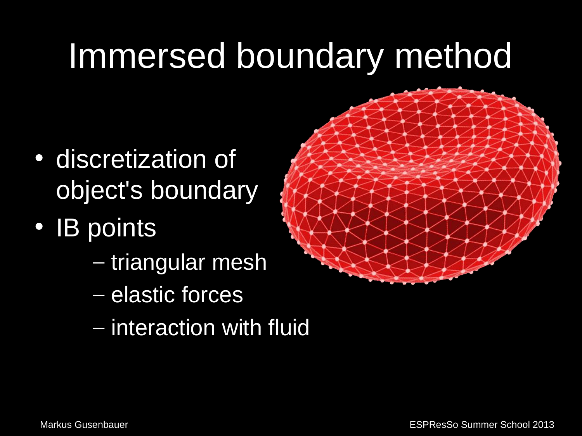## Immersed boundary method

- discretization of object's boundary
- IB points
	- triangular mesh
	- elastic forces
	- interaction with fluid

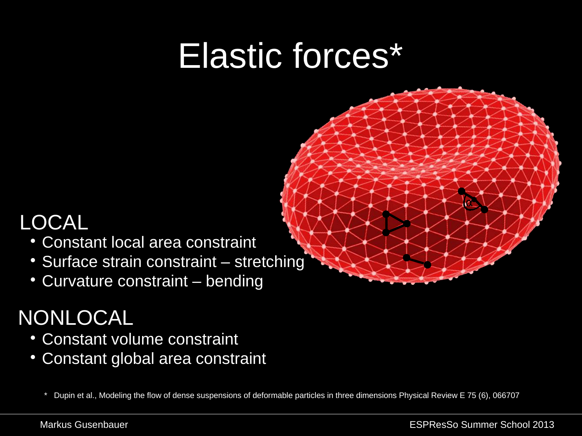### Elastic forces\*



- Constant local area constraint
- Surface strain constraint stretching
- Curvature constraint bending

### NONLOCAL

- Constant volume constraint
- Constant global area constraint

\* Dupin et al., Modeling the flow of dense suspensions of deformable particles in three dimensions Physical Review E 75 (6), 066707

α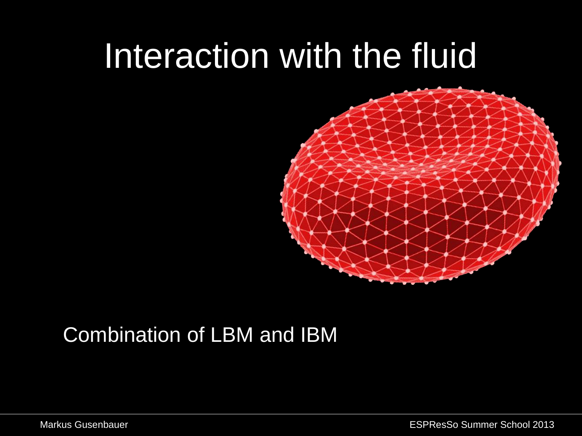### Interaction with the fluid



### Combination of LBM and IBM

Markus Gusenbauer ESPResSo Summer School 2013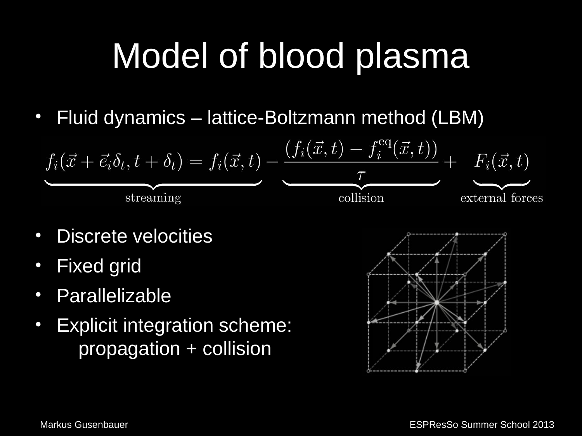# Model of blood plasma

• Fluid dynamics – lattice-Boltzmann method (LBM)

$$
f_i(\vec{x} + \vec{e}_i \delta_t, t + \delta_t) = f_i(\vec{x}, t) - \underbrace{\frac{(f_i(\vec{x}, t) - f_i^{\text{eq}}(\vec{x}, t))}{\tau}}_{\text{collision}} + F_i(\vec{x}, t)
$$
\n
$$
\underbrace{\text{external forces}}
$$

- Discrete velocities
- Fixed grid
- Parallelizable
- Explicit integration scheme: propagation + collision

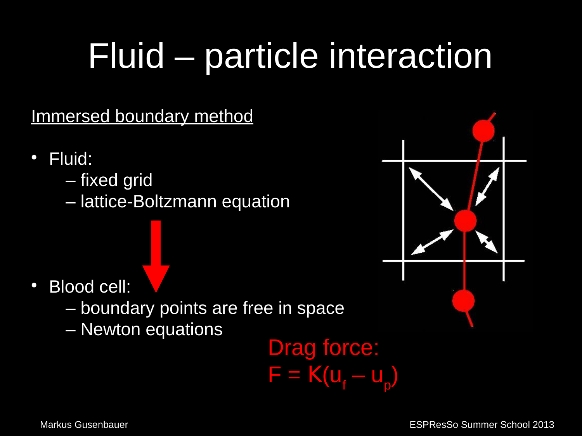# Fluid – particle interaction

### Immersed boundary method

- Fluid:
	- fixed grid
	- lattice-Boltzmann equation

- Blood cell:
	- boundary points are free in space
	- Newton equations

### Drag force:  $F = K(u_f - u_p)$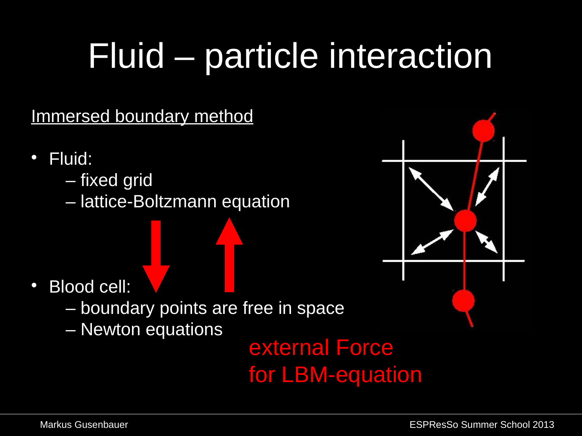# Fluid – particle interaction

### Immersed boundary method

- Fluid:
	- fixed grid
	- lattice-Boltzmann equation

- Blood cell:
	- boundary points are free in space
	- Newton equations

### external Force for LBM-equation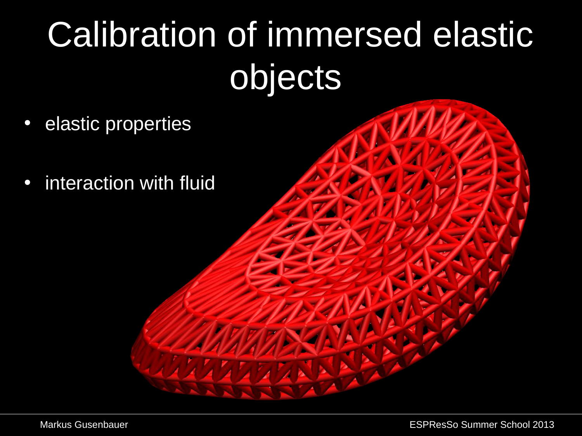# Calibration of immersed elastic objects

- elastic properties
- interaction with fluid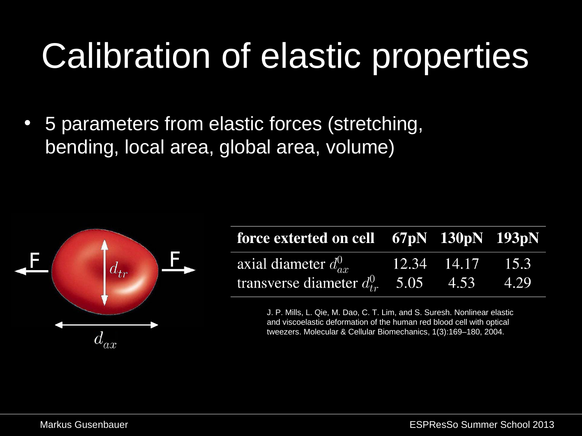## Calibration of elastic properties

• 5 parameters from elastic forces (stretching, bending, local area, global area, volume)



| force exterted on cell 67pN 130pN 193pN       |                  |  |
|-----------------------------------------------|------------------|--|
| axial diameter $d_{ar}^0$                     | 12.34 14.17 15.3 |  |
| transverse diameter $d_{tr}^0$ 5.05 4.53 4.29 |                  |  |

J. P. Mills, L. Qie, M. Dao, C. T. Lim, and S. Suresh. Nonlinear elastic and viscoelastic deformation of the human red blood cell with optical tweezers. Molecular & Cellular Biomechanics, 1(3):169–180, 2004.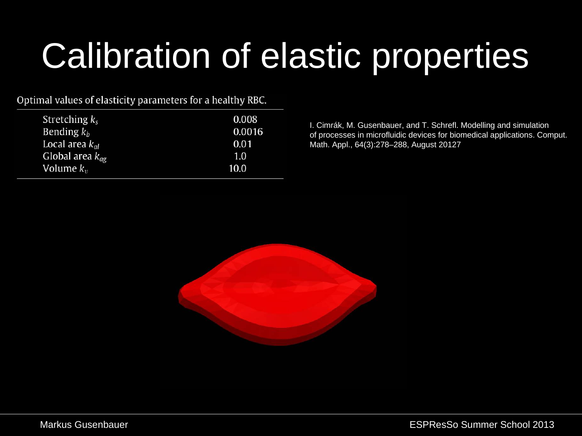# Calibration of elastic properties

#### Optimal values of elasticity parameters for a healthy RBC.

| Stretching $k_s$            | 0.008  |
|-----------------------------|--------|
| Bending $k_h$               | 0.0016 |
| Local area $k_{\alpha l}$   | 0.01   |
| Global area $k_{\text{ag}}$ | 1.0    |
| Volume $k_v$                | 10.0   |
|                             |        |

 I. Cimrák, M. Gusenbauer, and T. Schrefl. Modelling and simulation of processes in microfluidic devices for biomedical applications. Comput. Math. Appl., 64(3):278–288, August 20127

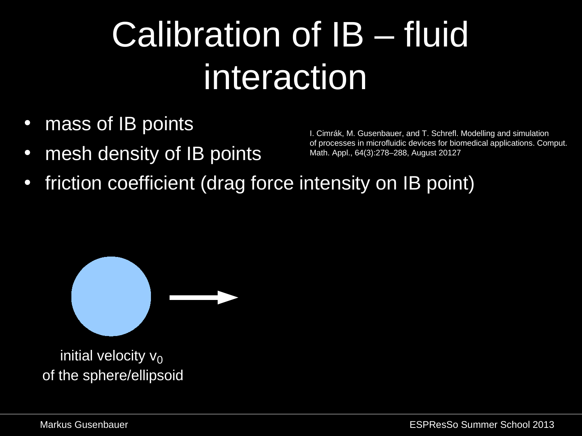# Calibration of IB – fluid interaction

- mass of IB points
- mesh density of IB points

 I. Cimrák, M. Gusenbauer, and T. Schrefl. Modelling and simulation of processes in microfluidic devices for biomedical applications. Comput. Math. Appl., 64(3):278–288, August 20127

friction coefficient (drag force intensity on IB point)



initial velocity  $v_0$ of the sphere/ellipsoid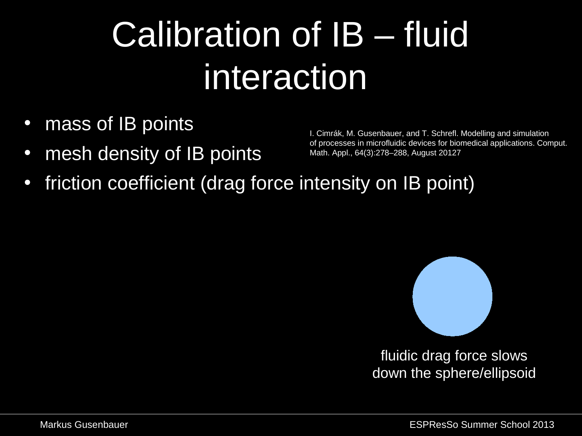# Calibration of IB – fluid interaction

- mass of IB points
- mesh density of IB points

 I. Cimrák, M. Gusenbauer, and T. Schrefl. Modelling and simulation of processes in microfluidic devices for biomedical applications. Comput. Math. Appl., 64(3):278–288, August 20127

friction coefficient (drag force intensity on IB point)



fluidic drag force slows down the sphere/ellipsoid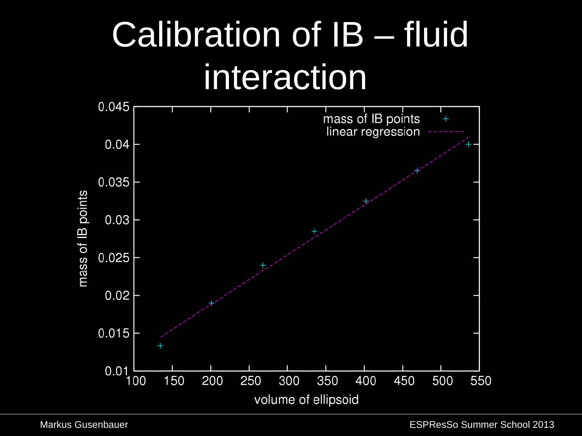## Calibration of IB – fluid interaction

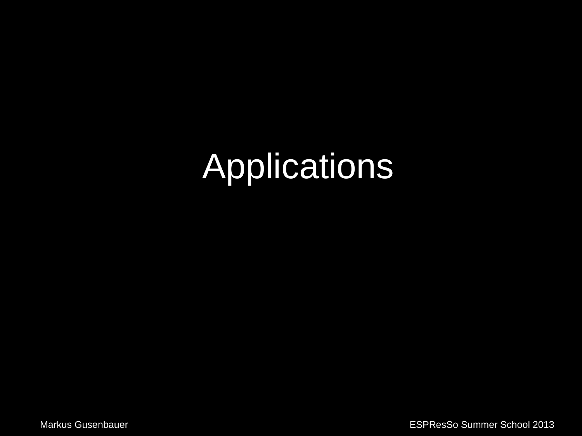# **Applications**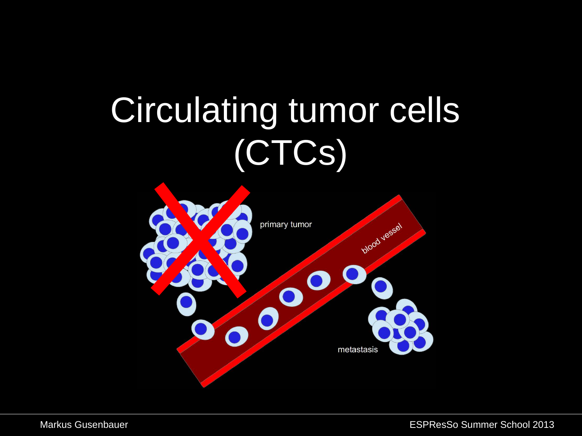# Circulating tumor cells (CTCs)

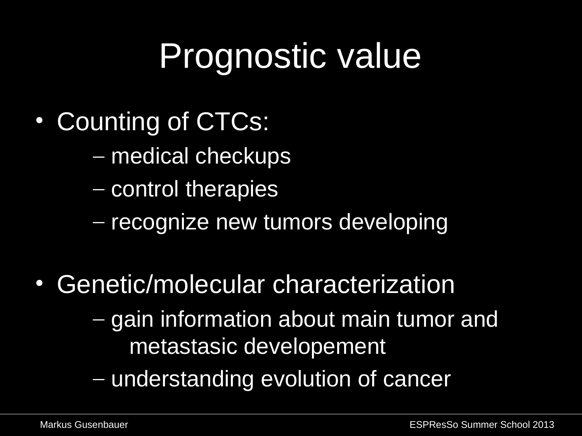## Prognostic value

- Counting of CTCs:
	- medical checkups
	- control therapies
	- recognize new tumors developing
- Genetic/molecular characterization
	- gain information about main tumor and metastasic developement
	- understanding evolution of cancer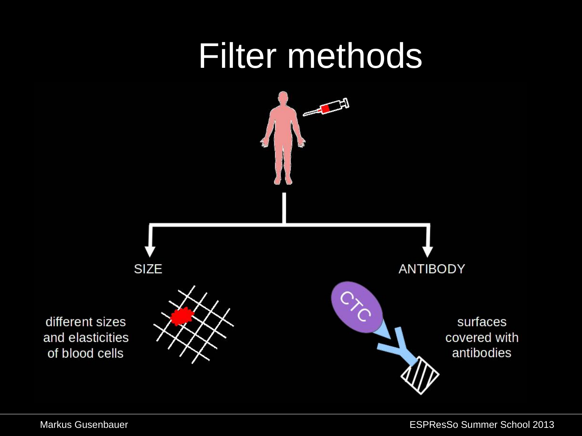### Filter methods

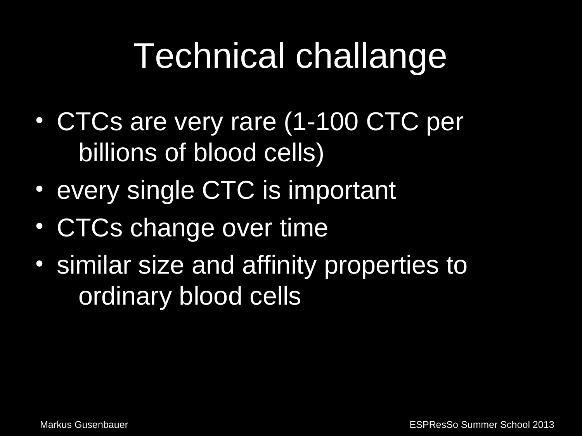## Technical challange

- CTCs are very rare (1-100 CTC per billions of blood cells)
- every single CTC is important
- CTCs change over time
- similar size and affinity properties to ordinary blood cells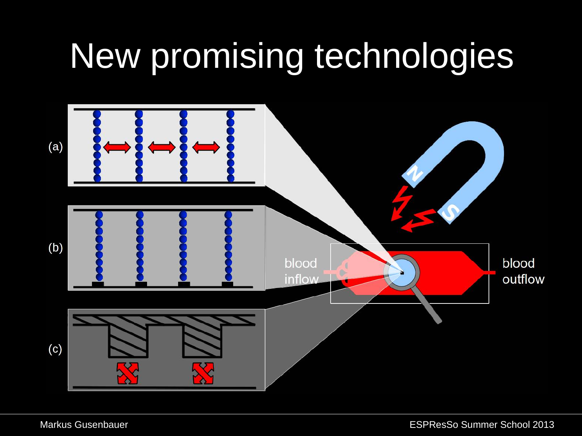### •New promising technologies

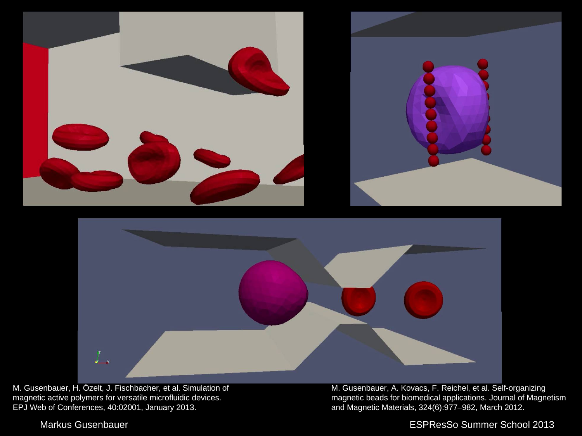



M. Gusenbauer, H. Özelt, J. Fischbacher, et al. Simulation of magnetic active polymers for versatile microfluidic devices. EPJ Web of Conferences, 40:02001, January 2013.

M. Gusenbauer, A. Kovacs, F. Reichel, et al. Self-organizing magnetic beads for biomedical applications. Journal of Magnetism and Magnetic Materials, 324(6):977–982, March 2012.

#### Markus Gusenbauer ESPResSo Summer School 2013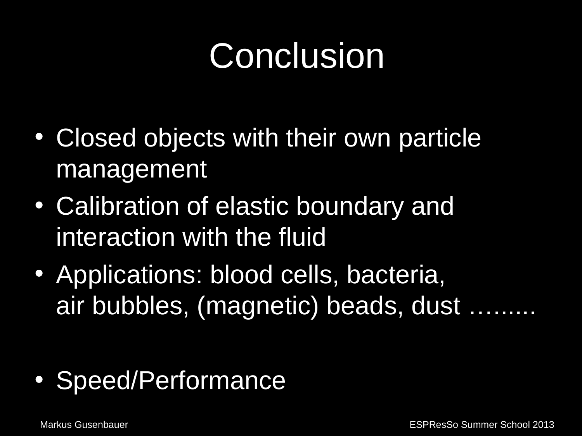## **Conclusion**

- Closed objects with their own particle management
- Calibration of elastic boundary and interaction with the fluid
- Applications: blood cells, bacteria, air bubbles, (magnetic) beads, dust …......

• Speed/Performance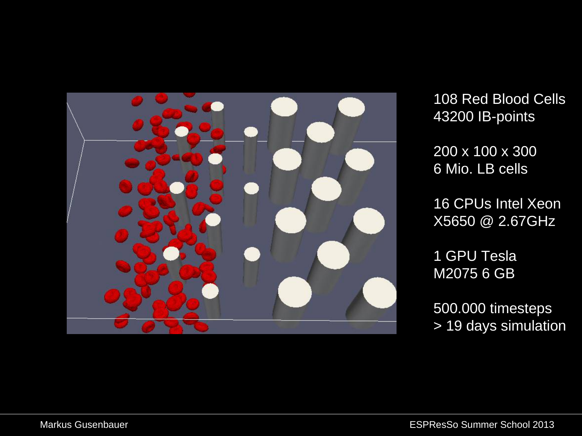

108 Red Blood Cells 43200 IB-points

200 x 100 x 300 6 Mio. LB cells

16 CPUs Intel Xeon X5650 @ 2.67GHz

1 GPU Tesla M2075 6 GB

500.000 timesteps > 19 days simulation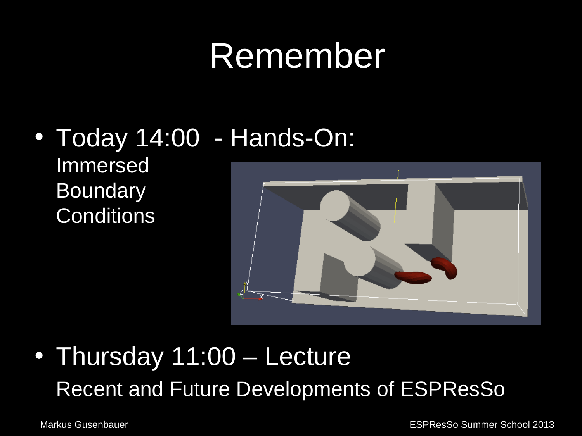### •Remember

### • Today 14:00 - Hands-On: Immersed Boundary **Conditions**



### • Thursday 11:00 – Lecture Recent and Future Developments of ESPResSo